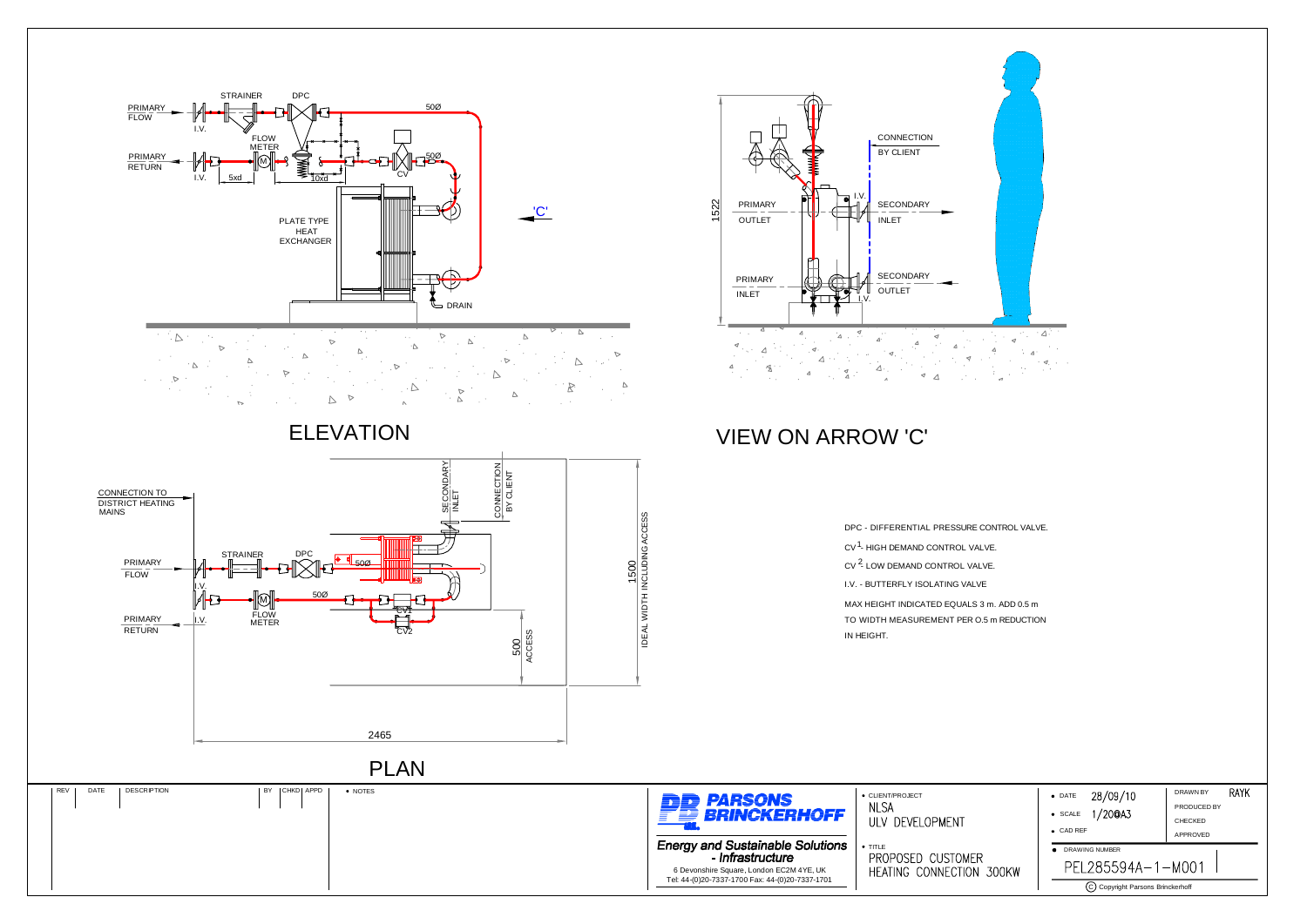## VIEW ON ARROW 'C'



|       | 28/09/10<br>$\bullet$ DATE     | RAYK<br>DRAWN BY |  |
|-------|--------------------------------|------------------|--|
|       | 1/20@A3                        | PRODUCED BY      |  |
|       | $\bullet$ SCALE                | CHECKED          |  |
|       | CAD REF<br>$\bullet$           | APPROVED         |  |
|       | <b>DRAWING NUMBER</b>          |                  |  |
| 300KW | PEL285594A-1-M001              |                  |  |
|       | Copyright Parsons Brinckerhoff |                  |  |



DPC - DIFFERENTIAL PRESSURE CONTROL VALVE. CV <sup>1</sup>- HIGH DEMAND CONTROL VALVE. CV <sup>2</sup>- LOW DEMAND CONTROL VALVE. MAX HEIGHT INDICATED EQUALS 3 m. ADD 0.5 <sup>m</sup> TO WIDTH MEASUREMENT PER O.5 m REDUCTION IN HEIGHT. I.V. - BUTTERFLY ISOLATING VALVE

| <b>En parsons</b><br>FE BRINCKERHOFF                                                        | • CLIENT/PROJECT<br>NI SA<br>ULV DEVELOPMENT |  |
|---------------------------------------------------------------------------------------------|----------------------------------------------|--|
| <b>Energy and Sustainable Solutions</b><br>- Infrastructure                                 | $+$ TITLE<br>PROPOSED CUSTOMER               |  |
| 6 Devonshire Square, London EC2M 4YE, UK<br>Tel: 44-(0)20-7337-1700 Fax: 44-(0)20-7337-1701 | <b>HEATING CONNECTION</b>                    |  |
|                                                                                             |                                              |  |

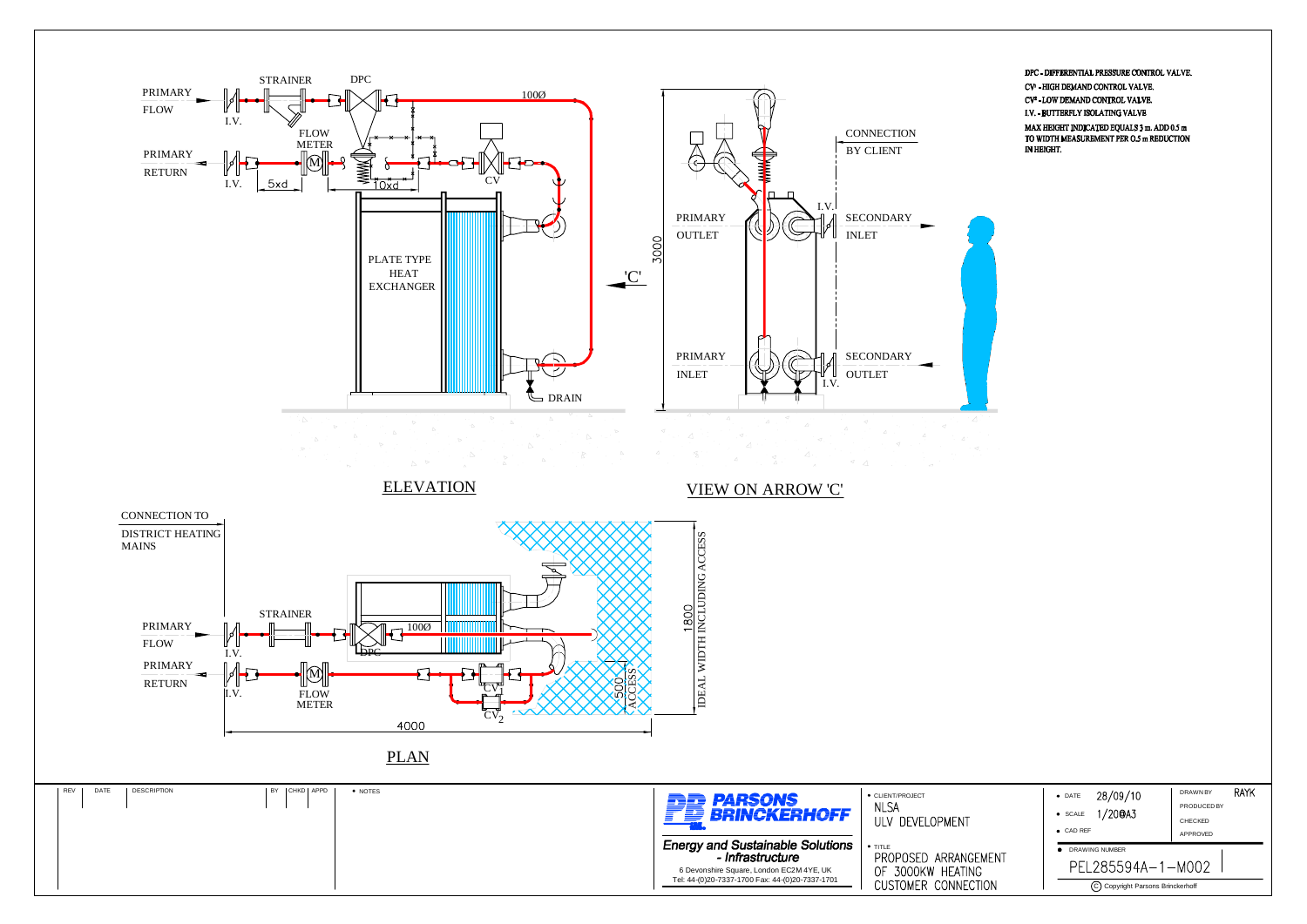

DPC - DIFFERENTIAL PRESSURE CONTROL VALVE.

CV- HIGH DEMAND CONTROL VALVE.

CV<sup>2</sup> - LOW DEMAND CONTROL VALVE.

I.V. - BUTTERFLY ISOLATING VALVE

MAX HEIGHT INDICATED EQUALS 3 m. ADD 0.5 m TO WIDTH MEASUREMENT PER O.5 m REDUCTION IN HEIGHT.

|      | 28/09/10<br>$\bullet$ DATE         | DRAWN BY    | <b>RAYK</b> |
|------|------------------------------------|-------------|-------------|
|      | 1/20@A3<br>· SCALE                 | PRODUCED BY |             |
|      |                                    | CHECKED     |             |
|      | $\bullet$ CAD REF                  | APPROVED    |             |
|      | DRAWING NUMBER                     |             |             |
| MENT | PEL285594A-1-M002                  |             |             |
| ΟN   | (C) Copyright Parsons Brinckerhoff |             |             |